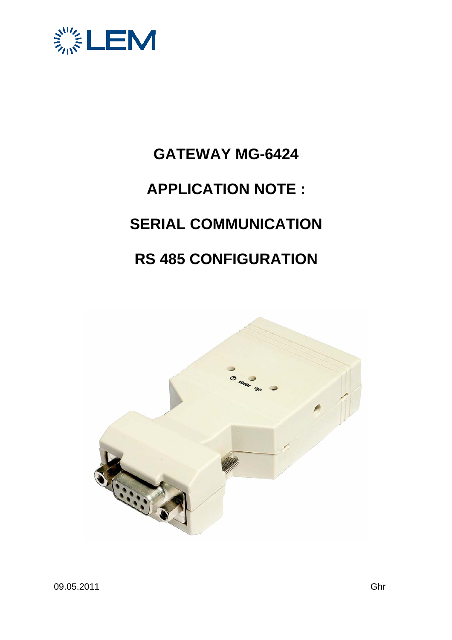

## **GATEWAY MG-6424 APPLICATION NOTE : SERIAL COMMUNICATION RS 485 CONFIGURATION**